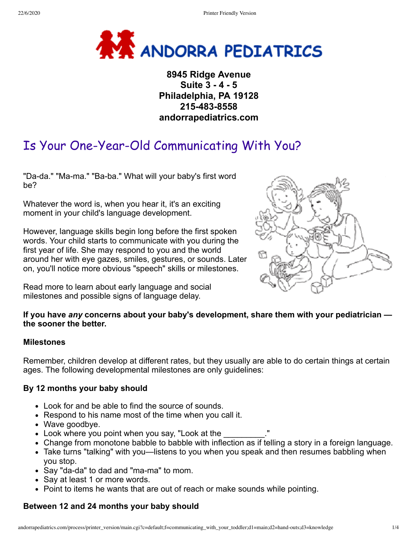

# **8945 Ridge Avenue Suite 3 - 4 - 5 Philadelphia, PA 19128 215-483-8558 andorrapediatrics.com**

# Is Your One-Year-Old Communicating With You?

"Da-da." "Ma-ma." "Ba-ba." What will your baby's first word be?

Whatever the word is, when you hear it, it's an exciting moment in your child's language development.

However, language skills begin long before the first spoken words. Your child starts to communicate with you during the first year of life. She may respond to you and the world around her with eye gazes, smiles, gestures, or sounds. Later on, you'll notice more obvious "speech" skills or milestones.

Read more to learn about early language and social milestones and possible signs of language delay.



### **If you have** *any* **concerns about your baby's development, share them with your pediatrician the sooner the better.**

#### **Milestones**

Remember, children develop at different rates, but they usually are able to do certain things at certain ages. The following developmental milestones are only guidelines:

#### **By 12 months your baby should**

- Look for and be able to find the source of sounds.
- Respond to his name most of the time when you call it.
- Wave goodbye.
- Look where you point when you say, "Look at the
- Change from monotone babble to babble with inflection as if telling a story in a foreign language.
- Take turns "talking" with you—listens to you when you speak and then resumes babbling when you stop.
- Say "da-da" to dad and "ma-ma" to mom.
- Say at least 1 or more words.
- Point to items he wants that are out of reach or make sounds while pointing.

## **Between 12 and 24 months your baby should**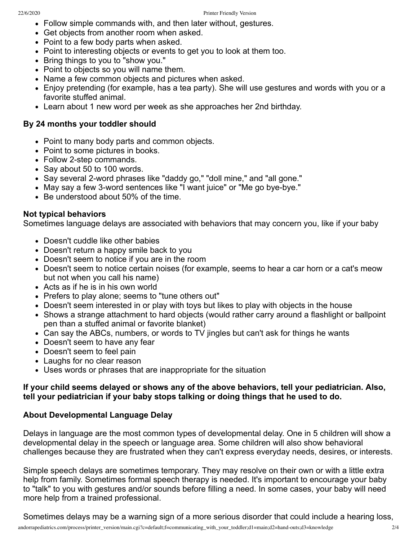- Follow simple commands with, and then later without, gestures.
- Get objects from another room when asked.
- Point to a few body parts when asked.
- Point to interesting objects or events to get you to look at them too.
- Bring things to you to "show you."
- Point to objects so you will name them.
- Name a few common objects and pictures when asked.
- Enjoy pretending (for example, has a tea party). She will use gestures and words with you or a favorite stuffed animal.
- Learn about 1 new word per week as she approaches her 2nd birthday.

#### **By 24 months your toddler should**

- Point to many body parts and common objects.
- Point to some pictures in books.
- Follow 2-step commands.
- Say about 50 to 100 words.
- Say several 2-word phrases like "daddy go," "doll mine," and "all gone."
- May say a few 3-word sentences like "I want juice" or "Me go bye-bye."
- Be understood about 50% of the time.

#### **Not typical behaviors**

Sometimes language delays are associated with behaviors that may concern you, like if your baby

- Doesn't cuddle like other babies
- Doesn't return a happy smile back to you
- Doesn't seem to notice if you are in the room
- Doesn't seem to notice certain noises (for example, seems to hear a car horn or a cat's meow but not when you call his name)
- Acts as if he is in his own world
- Prefers to play alone; seems to "tune others out"
- Doesn't seem interested in or play with toys but likes to play with objects in the house
- Shows a strange attachment to hard objects (would rather carry around a flashlight or ballpoint pen than a stuffed animal or favorite blanket)
- Can say the ABCs, numbers, or words to TV jingles but can't ask for things he wants
- Doesn't seem to have any fear
- Doesn't seem to feel pain
- Laughs for no clear reason
- Uses words or phrases that are inappropriate for the situation

#### **If your child seems delayed or shows any of the above behaviors, tell your pediatrician. Also, tell your pediatrician if your baby stops talking or doing things that he used to do.**

#### **About Developmental Language Delay**

Delays in language are the most common types of developmental delay. One in 5 children will show a developmental delay in the speech or language area. Some children will also show behavioral challenges because they are frustrated when they can't express everyday needs, desires, or interests.

Simple speech delays are sometimes temporary. They may resolve on their own or with a little extra help from family. Sometimes formal speech therapy is needed. It's important to encourage your baby to "talk" to you with gestures and/or sounds before filling a need. In some cases, your baby will need more help from a trained professional.

Sometimes delays may be a warning sign of a more serious disorder that could include a hearing loss,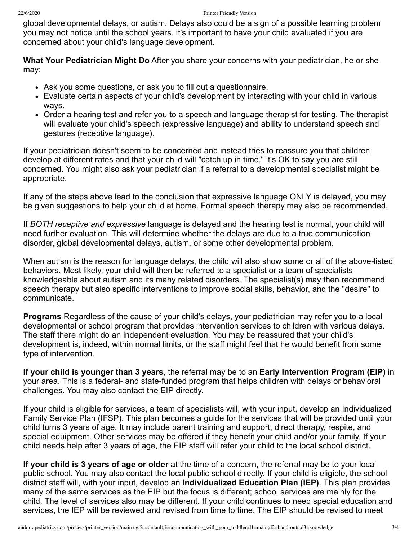global developmental delays, or autism. Delays also could be a sign of a possible learning problem you may not notice until the school years. It's important to have your child evaluated if you are concerned about your child's language development.

**What Your Pediatrician Might Do** After you share your concerns with your pediatrician, he or she may:

- Ask you some questions, or ask you to fill out a questionnaire.
- Evaluate certain aspects of your child's development by interacting with your child in various ways.
- Order a hearing test and refer you to a speech and language therapist for testing. The therapist will evaluate your child's speech (expressive language) and ability to understand speech and gestures (receptive language).

If your pediatrician doesn't seem to be concerned and instead tries to reassure you that children develop at different rates and that your child will "catch up in time," it's OK to say you are still concerned. You might also ask your pediatrician if a referral to a developmental specialist might be appropriate.

If any of the steps above lead to the conclusion that expressive language ONLY is delayed, you may be given suggestions to help your child at home. Formal speech therapy may also be recommended.

If *BOTH receptive and expressive* language is delayed and the hearing test is normal, your child will need further evaluation. This will determine whether the delays are due to a true communication disorder, global developmental delays, autism, or some other developmental problem.

When autism is the reason for language delays, the child will also show some or all of the above-listed behaviors. Most likely, your child will then be referred to a specialist or a team of specialists knowledgeable about autism and its many related disorders. The specialist(s) may then recommend speech therapy but also specific interventions to improve social skills, behavior, and the "desire" to communicate.

**Programs** Regardless of the cause of your child's delays, your pediatrician may refer you to a local developmental or school program that provides intervention services to children with various delays. The staff there might do an independent evaluation. You may be reassured that your child's development is, indeed, within normal limits, or the staff might feel that he would benefit from some type of intervention.

**If your child is younger than 3 years**, the referral may be to an **Early Intervention Program (EIP)** in your area. This is a federal- and state-funded program that helps children with delays or behavioral challenges. You may also contact the EIP directly.

If your child is eligible for services, a team of specialists will, with your input, develop an Individualized Family Service Plan (IFSP). This plan becomes a guide for the services that will be provided until your child turns 3 years of age. It may include parent training and support, direct therapy, respite, and special equipment. Other services may be offered if they benefit your child and/or your family. If your child needs help after 3 years of age, the EIP staff will refer your child to the local school district.

**If your child is 3 years of age or older** at the time of a concern, the referral may be to your local public school. You may also contact the local public school directly. If your child is eligible, the school district staff will, with your input, develop an **Individualized Education Plan (IEP)**. This plan provides many of the same services as the EIP but the focus is different; school services are mainly for the child. The level of services also may be different. If your child continues to need special education and services, the IEP will be reviewed and revised from time to time. The EIP should be revised to meet